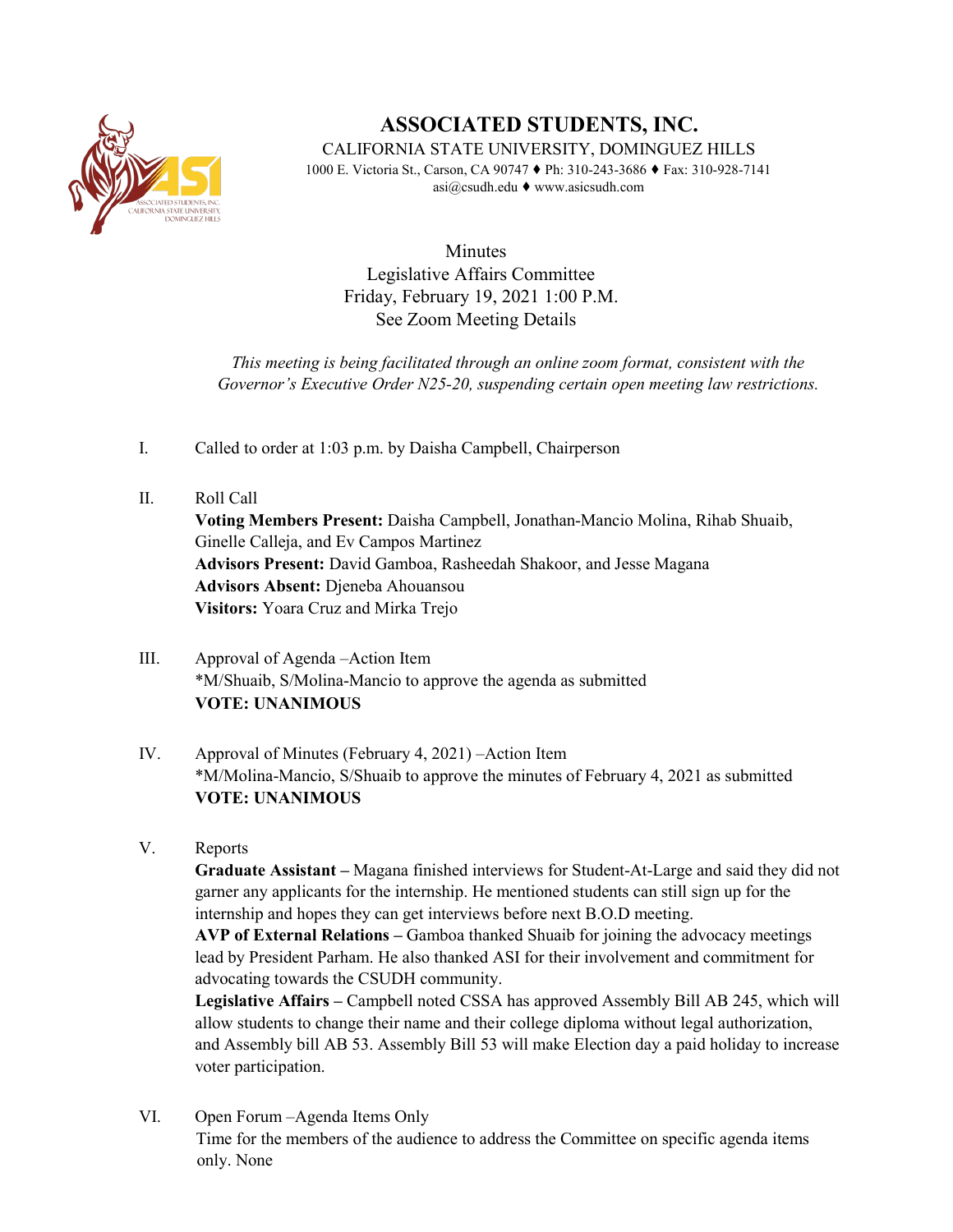

## **ASSOCIATED STUDENTS, INC.**

CALIFORNIA STATE UNIVERSITY, DOMINGUEZ HILLS

1000 E. Victoria St., Carson, CA 90747 ♦ Ph: 310-243-3686 ♦ Fax: 310-928-7141 asi@csudh.edu ♦ www.asicsudh.com

Minutes Legislative Affairs Committee Friday, February 19, 2021 1:00 P.M. See Zoom Meeting Details

*This meeting is being facilitated through an online zoom format, consistent with the Governor's Executive Order N25-20, suspending certain open meeting law restrictions.* 

- I. Called to order at 1:03 p.m. by Daisha Campbell, Chairperson
- II. Roll Call **Voting Members Present:** Daisha Campbell, Jonathan-Mancio Molina, Rihab Shuaib, Ginelle Calleja, and Ev Campos Martinez **Advisors Present:** David Gamboa, Rasheedah Shakoor, and Jesse Magana **Advisors Absent:** Djeneba Ahouansou **Visitors:** Yoara Cruz and Mirka Trejo
- III. Approval of Agenda –Action Item \*M/Shuaib, S/Molina-Mancio to approve the agenda as submitted **VOTE: UNANIMOUS**
- IV. Approval of Minutes (February 4, 2021) –Action Item \*M/Molina-Mancio, S/Shuaib to approve the minutes of February 4, 2021 as submitted **VOTE: UNANIMOUS**
- V. Reports

**Graduate Assistant –** Magana finished interviews for Student-At-Large and said they did not garner any applicants for the internship. He mentioned students can still sign up for the internship and hopes they can get interviews before next B.O.D meeting.

**AVP of External Relations –** Gamboa thanked Shuaib for joining the advocacy meetings lead by President Parham. He also thanked ASI for their involvement and commitment for advocating towards the CSUDH community.

**Legislative Affairs –** Campbell noted CSSA has approved Assembly Bill AB 245, which will allow students to change their name and their college diploma without legal authorization, and Assembly bill AB 53. Assembly Bill 53 will make Election day a paid holiday to increase voter participation.

VI. Open Forum –Agenda Items Only Time for the members of the audience to address the Committee on specific agenda items only. None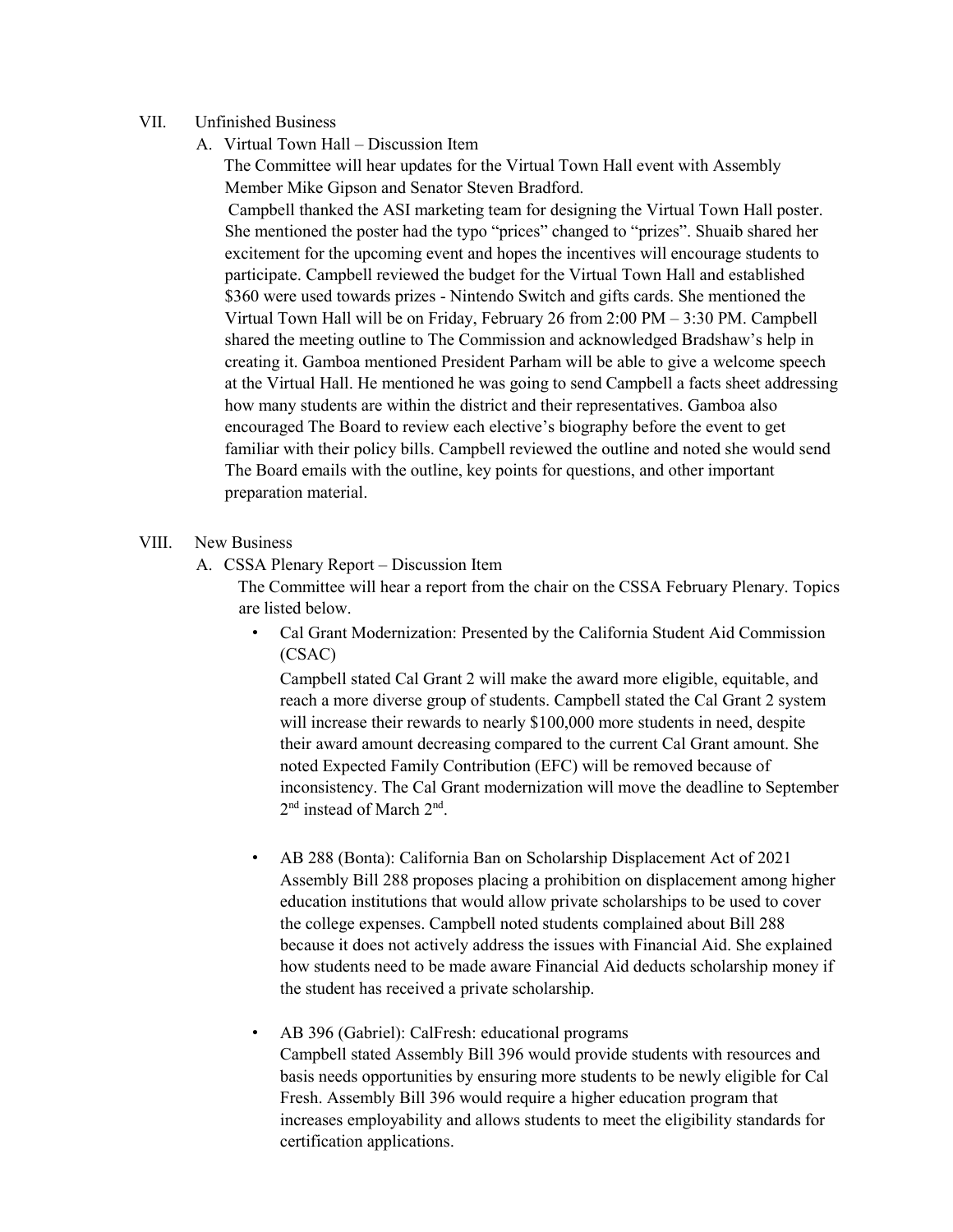## VII. Unfinished Business

A. Virtual Town Hall – Discussion Item

The Committee will hear updates for the Virtual Town Hall event with Assembly Member Mike Gipson and Senator Steven Bradford.

Campbell thanked the ASI marketing team for designing the Virtual Town Hall poster. She mentioned the poster had the typo "prices" changed to "prizes". Shuaib shared her excitement for the upcoming event and hopes the incentives will encourage students to participate. Campbell reviewed the budget for the Virtual Town Hall and established \$360 were used towards prizes - Nintendo Switch and gifts cards. She mentioned the Virtual Town Hall will be on Friday, February 26 from 2:00 PM – 3:30 PM. Campbell shared the meeting outline to The Commission and acknowledged Bradshaw's help in creating it. Gamboa mentioned President Parham will be able to give a welcome speech at the Virtual Hall. He mentioned he was going to send Campbell a facts sheet addressing how many students are within the district and their representatives. Gamboa also encouraged The Board to review each elective's biography before the event to get familiar with their policy bills. Campbell reviewed the outline and noted she would send The Board emails with the outline, key points for questions, and other important preparation material.

## VIII. New Business

A. CSSA Plenary Report – Discussion Item

The Committee will hear a report from the chair on the CSSA February Plenary. Topics are listed below.

• Cal Grant Modernization: Presented by the California Student Aid Commission (CSAC)

Campbell stated Cal Grant 2 will make the award more eligible, equitable, and reach a more diverse group of students. Campbell stated the Cal Grant 2 system will increase their rewards to nearly \$100,000 more students in need, despite their award amount decreasing compared to the current Cal Grant amount. She noted Expected Family Contribution (EFC) will be removed because of inconsistency. The Cal Grant modernization will move the deadline to September 2nd instead of March 2nd.

- AB 288 (Bonta): California Ban on Scholarship Displacement Act of 2021 Assembly Bill 288 proposes placing a prohibition on displacement among higher education institutions that would allow private scholarships to be used to cover the college expenses. Campbell noted students complained about Bill 288 because it does not actively address the issues with Financial Aid. She explained how students need to be made aware Financial Aid deducts scholarship money if the student has received a private scholarship.
- AB 396 (Gabriel): CalFresh: educational programs Campbell stated Assembly Bill 396 would provide students with resources and basis needs opportunities by ensuring more students to be newly eligible for Cal Fresh. Assembly Bill 396 would require a higher education program that increases employability and allows students to meet the eligibility standards for certification applications.